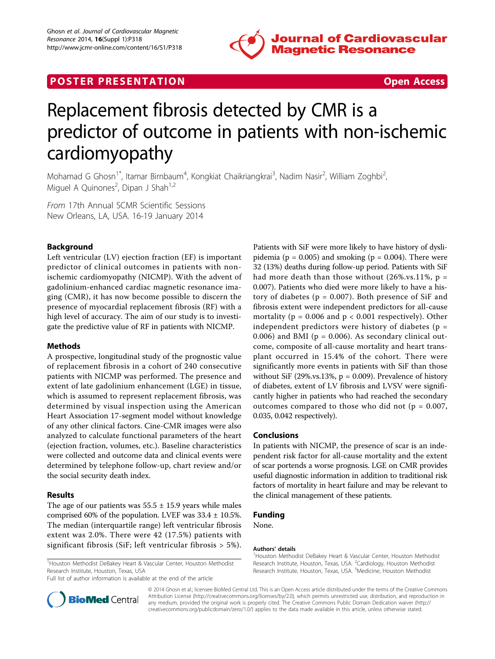

# **POSTER PRESENTATION CONSUMING THE SECOND CONSUMING THE SECOND CONSUMING THE SECOND CONSUMING THE SECOND CONSUMING THE SECOND CONSUMING THE SECOND CONSUMING THE SECOND CONSUMING THE SECOND CONSUMING THE SECOND CONSUMING**



# Replacement fibrosis detected by CMR is a predictor of outcome in patients with non-ischemic cardiomyopathy

Mohamad G Ghosn<sup>1\*</sup>, Itamar Birnbaum<sup>4</sup>, Kongkiat Chaikriangkrai<sup>3</sup>, Nadim Nasir<sup>2</sup>, William Zoghbi<sup>2</sup> , Miguel A Quinones<sup>2</sup>, Dipan J Shah<sup>1,2</sup>

From 17th Annual SCMR Scientific Sessions New Orleans, LA, USA. 16-19 January 2014

## Background

Left ventricular (LV) ejection fraction (EF) is important predictor of clinical outcomes in patients with nonischemic cardiomyopathy (NICMP). With the advent of gadolinium-enhanced cardiac magnetic resonance imaging (CMR), it has now become possible to discern the presence of myocardial replacement fibrosis (RF) with a high level of accuracy. The aim of our study is to investigate the predictive value of RF in patients with NICMP.

#### Methods

A prospective, longitudinal study of the prognostic value of replacement fibrosis in a cohort of 240 consecutive patients with NICMP was performed. The presence and extent of late gadolinium enhancement (LGE) in tissue, which is assumed to represent replacement fibrosis, was determined by visual inspection using the American Heart Association 17-segment model without knowledge of any other clinical factors. Cine-CMR images were also analyzed to calculate functional parameters of the heart (ejection fraction, volumes, etc.). Baseline characteristics were collected and outcome data and clinical events were determined by telephone follow-up, chart review and/or the social security death index.

### Results

The age of our patients was  $55.5 \pm 15.9$  years while males comprised 60% of the population. LVEF was  $33.4 \pm 10.5$ %. The median (interquartile range) left ventricular fibrosis extent was 2.0%. There were 42 (17.5%) patients with significant fibrosis (SiF; left ventricular fibrosis > 5%).

<sup>1</sup> Houston Methodist DeBakey Heart & Vascular Center, Houston Methodist Research Institute, Houston, Texas, USA

Full list of author information is available at the end of the article

Patients with SiF were more likely to have history of dyslipidemia ( $p = 0.005$ ) and smoking ( $p = 0.004$ ). There were 32 (13%) deaths during follow-up period. Patients with SiF had more death than those without  $(26\% \text{ vs. } 11\%$ , p = 0.007). Patients who died were more likely to have a history of diabetes ( $p = 0.007$ ). Both presence of SiF and fibrosis extent were independent predictors for all-cause mortality ( $p = 0.006$  and  $p < 0.001$  respectively). Other independent predictors were history of diabetes ( $p =$ 0.006) and BMI ( $p = 0.006$ ). As secondary clinical outcome, composite of all-cause mortality and heart transplant occurred in 15.4% of the cohort. There were significantly more events in patients with SiF than those without SiF (29%.vs.13%,  $p = 0.009$ ). Prevalence of history of diabetes, extent of LV fibrosis and LVSV were significantly higher in patients who had reached the secondary outcomes compared to those who did not ( $p = 0.007$ , 0.035, 0.042 respectively).

#### Conclusions

In patients with NICMP, the presence of scar is an independent risk factor for all-cause mortality and the extent of scar portends a worse prognosis. LGE on CMR provides useful diagnostic information in addition to traditional risk factors of mortality in heart failure and may be relevant to the clinical management of these patients.

#### Funding

None.

#### Authors' details <sup>1</sup>

<sup>1</sup> Houston Methodist DeBakey Heart & Vascular Center, Houston Methodist Research Institute, Houston, Texas, USA. <sup>2</sup>Cardiology, Houston Methodist Research Institute, Houston, Texas, USA. <sup>3</sup>Medicine, Houston Methodist



© 2014 Ghosn et al.; licensee BioMed Central Ltd. This is an Open Access article distributed under the terms of the Creative Commons Attribution License [\(http://creativecommons.org/licenses/by/2.0](http://creativecommons.org/licenses/by/2.0)), which permits unrestricted use, distribution, and reproduction in any medium, provided the original work is properly cited. The Creative Commons Public Domain Dedication waiver [\(http://](http://creativecommons.org/publicdomain/zero/1.0/) [creativecommons.org/publicdomain/zero/1.0/](http://creativecommons.org/publicdomain/zero/1.0/)) applies to the data made available in this article, unless otherwise stated.